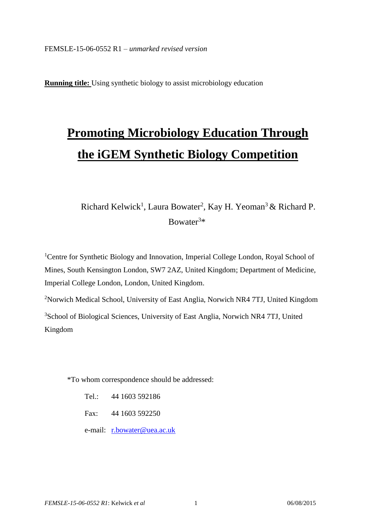**Running title:** Using synthetic biology to assist microbiology education

# **Promoting Microbiology Education Through the iGEM Synthetic Biology Competition**

# Richard Kelwick<sup>1</sup>, Laura Bowater<sup>2</sup>, Kay H. Yeoman<sup>3</sup> & Richard P. Bowater<sup>3</sup>\*

<sup>1</sup>Centre for Synthetic Biology and Innovation, Imperial College London, Royal School of Mines, South Kensington London, SW7 2AZ, United Kingdom; Department of Medicine, Imperial College London, London, United Kingdom.

<sup>2</sup>Norwich Medical School, University of East Anglia, Norwich NR4 7TJ, United Kingdom <sup>3</sup>School of Biological Sciences, University of East Anglia, Norwich NR4 7TJ, United Kingdom

\*To whom correspondence should be addressed:

- Tel.: 44 1603 592186
- Fax: 44 1603 592250
- e-mail: [r.bowater@uea.ac.uk](mailto:r.bowater@uea.ac.uk)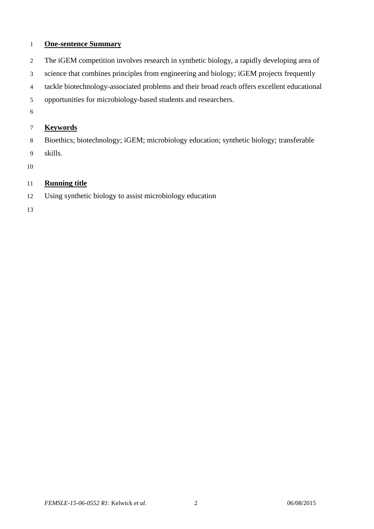# **One-sentence Summary**

- The iGEM competition involves research in synthetic biology, a rapidly developing area of
- science that combines principles from engineering and biology; iGEM projects frequently
- tackle biotechnology-associated problems and their broad reach offers excellent educational
- opportunities for microbiology-based students and researchers.
- 

# **Keywords**

Bioethics; biotechnology; iGEM; microbiology education; synthetic biology; transferable

skills.

# **Running title**

Using synthetic biology to assist microbiology education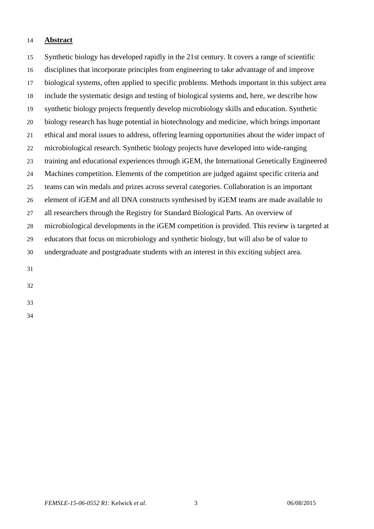#### **Abstract**

 Synthetic biology has developed rapidly in the 21st century. It covers a range of scientific disciplines that incorporate principles from engineering to take advantage of and improve biological systems, often applied to specific problems. Methods important in this subject area include the systematic design and testing of biological systems and, here, we describe how synthetic biology projects frequently develop microbiology skills and education. Synthetic biology research has huge potential in biotechnology and medicine, which brings important ethical and moral issues to address, offering learning opportunities about the wider impact of microbiological research. Synthetic biology projects have developed into wide-ranging training and educational experiences through iGEM, the International Genetically Engineered Machines competition. Elements of the competition are judged against specific criteria and teams can win medals and prizes across several categories. Collaboration is an important element of iGEM and all DNA constructs synthesised by iGEM teams are made available to all researchers through the Registry for Standard Biological Parts. An overview of microbiological developments in the iGEM competition is provided. This review is targeted at educators that focus on microbiology and synthetic biology, but will also be of value to undergraduate and postgraduate students with an interest in this exciting subject area. 

- 
-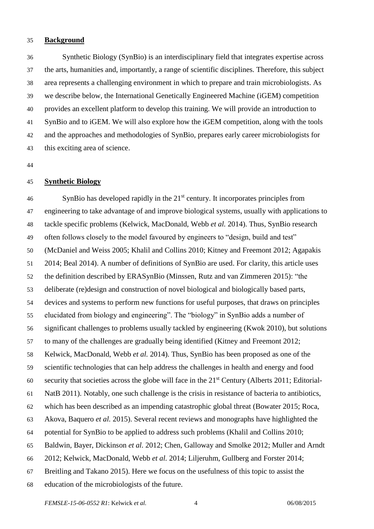#### **Background**

 Synthetic Biology (SynBio) is an interdisciplinary field that integrates expertise across the arts, humanities and, importantly, a range of scientific disciplines. Therefore, this subject area represents a challenging environment in which to prepare and train microbiologists. As we describe below, the International Genetically Engineered Machine (iGEM) competition provides an excellent platform to develop this training. We will provide an introduction to SynBio and to iGEM. We will also explore how the iGEM competition, along with the tools and the approaches and methodologies of SynBio, prepares early career microbiologists for this exciting area of science.

#### **Synthetic Biology**

 SynBio has developed rapidly in the  $21<sup>st</sup>$  century. It incorporates principles from engineering to take advantage of and improve biological systems, usually with applications to tackle specific problems [\(Kelwick, MacDonald, Webb](#page-16-0) *et al.* 2014). Thus, SynBio research often follows closely to the model favoured by engineers to "design, build and test" [\(McDaniel and Weiss 2005;](#page-16-1) [Khalil and Collins 2010;](#page-16-2) [Kitney and Freemont 2012;](#page-16-3) [Agapakis](#page-15-0)  [2014;](#page-15-0) [Beal 2014\)](#page-15-1). A number of definitions of SynBio are used. For clarity, this article uses the definition described by ERASynBio [\(Minssen, Rutz and van Zimmeren 2015\)](#page-16-4): "the deliberate (re)design and construction of novel biological and biologically based parts, devices and systems to perform new functions for useful purposes, that draws on principles elucidated from biology and engineering". The "biology" in SynBio adds a number of significant challenges to problems usually tackled by engineering [\(Kwok 2010\)](#page-16-5), but solutions to many of the challenges are gradually being identified [\(Kitney and Freemont 2012;](#page-16-3) [Kelwick, MacDonald, Webb](#page-16-0) *et al.* 2014). Thus, SynBio has been proposed as one of the scientific technologies that can help address the challenges in health and energy and food  $\delta$  security that societies across the globe will face in the 21<sup>st</sup> Century [\(Alberts 2011;](#page-15-2) [Editorial-](#page-15-3) [NatB 2011\)](#page-15-3). Notably, one such challenge is the crisis in resistance of bacteria to antibiotics, which has been described as an impending catastrophic global threat [\(Bowater 2015;](#page-15-4) [Roca,](#page-16-6)  [Akova, Baquero](#page-16-6) *et al.* 2015). Several recent reviews and monographs have highlighted the potential for SynBio to be applied to address such problems [\(Khalil and Collins 2010;](#page-16-2) [Baldwin, Bayer, Dickinson](#page-15-5) *et al.* 2012; [Chen, Galloway and Smolke 2012;](#page-15-6) [Muller and Arndt](#page-16-7)  [2012;](#page-16-7) [Kelwick, MacDonald, Webb](#page-16-0) *et al.* 2014; [Liljeruhm, Gullberg and Forster 2014;](#page-16-8) [Breitling and Takano 2015\)](#page-15-7). Here we focus on the usefulness of this topic to assist the education of the microbiologists of the future.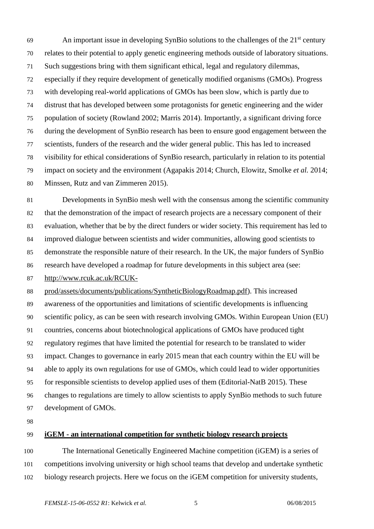An important issue in developing SynBio solutions to the challenges of the  $21<sup>st</sup>$  century relates to their potential to apply genetic engineering methods outside of laboratory situations. Such suggestions bring with them significant ethical, legal and regulatory dilemmas, especially if they require development of genetically modified organisms (GMOs). Progress with developing real-world applications of GMOs has been slow, which is partly due to distrust that has developed between some protagonists for genetic engineering and the wider population of society [\(Rowland 2002;](#page-16-9) [Marris 2014\)](#page-16-10). Importantly, a significant driving force during the development of SynBio research has been to ensure good engagement between the scientists, funders of the research and the wider general public. This has led to increased visibility for ethical considerations of SynBio research, particularly in relation to its potential impact on society and the environment [\(Agapakis 2014;](#page-15-0) [Church, Elowitz, Smolke](#page-15-8) *et al.* 2014; [Minssen, Rutz and van Zimmeren 2015\)](#page-16-4).

 Developments in SynBio mesh well with the consensus among the scientific community that the demonstration of the impact of research projects are a necessary component of their evaluation, whether that be by the direct funders or wider society. This requirement has led to improved dialogue between scientists and wider communities, allowing good scientists to demonstrate the responsible nature of their research. In the UK, the major funders of SynBio research have developed a roadmap for future developments in this subject area (see:

[http://www.rcuk.ac.uk/RCUK-](http://www.rcuk.ac.uk/RCUK-prod/assets/documents/publications/SyntheticBiologyRoadmap.pdf)

 [prod/assets/documents/publications/SyntheticBiologyRoadmap.pdf\)](http://www.rcuk.ac.uk/RCUK-prod/assets/documents/publications/SyntheticBiologyRoadmap.pdf). This increased awareness of the opportunities and limitations of scientific developments is influencing scientific policy, as can be seen with research involving GMOs. Within European Union (EU) countries, concerns about biotechnological applications of GMOs have produced tight regulatory regimes that have limited the potential for research to be translated to wider impact. Changes to governance in early 2015 mean that each country within the EU will be able to apply its own regulations for use of GMOs, which could lead to wider opportunities for responsible scientists to develop applied uses of them [\(Editorial-NatB 2015\)](#page-15-9). These changes to regulations are timely to allow scientists to apply SynBio methods to such future development of GMOs.

#### **iGEM - an international competition for synthetic biology research projects**

 The International Genetically Engineered Machine competition (iGEM) is a series of competitions involving university or high school teams that develop and undertake synthetic biology research projects. Here we focus on the iGEM competition for university students,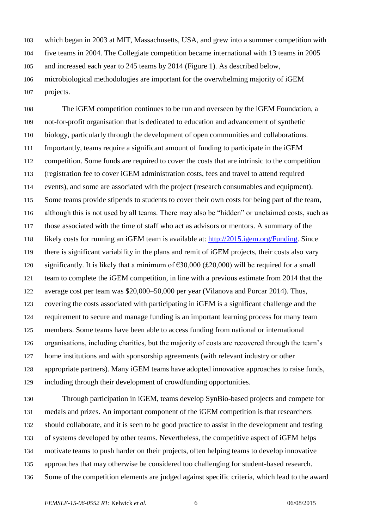which began in 2003 at MIT, Massachusetts, USA, and grew into a summer competition with five teams in 2004. The Collegiate competition became international with 13 teams in 2005 and increased each year to 245 teams by 2014 (Figure 1). As described below, microbiological methodologies are important for the overwhelming majority of iGEM projects.

 The iGEM competition continues to be run and overseen by the iGEM Foundation, a not-for-profit organisation that is dedicated to education and advancement of synthetic biology, particularly through the development of open communities and collaborations. Importantly, teams require a significant amount of funding to participate in the iGEM competition. Some funds are required to cover the costs that are intrinsic to the competition (registration fee to cover iGEM administration costs, fees and travel to attend required events), and some are associated with the project (research consumables and equipment). 115 Some teams provide stipends to students to cover their own costs for being part of the team, although this is not used by all teams. There may also be "hidden" or unclaimed costs, such as those associated with the time of staff who act as advisors or mentors. A summary of the likely costs for running an iGEM team is available at: [http://2015.igem.org/Funding.](http://2015.igem.org/Funding) Since there is significant variability in the plans and remit of iGEM projects, their costs also vary 120 significantly. It is likely that a minimum of  $\epsilon$ 30,000 (£20,000) will be required for a small team to complete the iGEM competition, in line with a previous estimate from 2014 that the average cost per team was \$20,000–50,000 per year [\(Vilanova and Porcar 2014\)](#page-16-11). Thus, covering the costs associated with participating in iGEM is a significant challenge and the requirement to secure and manage funding is an important learning process for many team members. Some teams have been able to access funding from national or international organisations, including charities, but the majority of costs are recovered through the team's home institutions and with sponsorship agreements (with relevant industry or other appropriate partners). Many iGEM teams have adopted innovative approaches to raise funds, including through their development of crowdfunding opportunities.

 Through participation in iGEM, teams develop SynBio-based projects and compete for medals and prizes. An important component of the iGEM competition is that researchers should collaborate, and it is seen to be good practice to assist in the development and testing of systems developed by other teams. Nevertheless, the competitive aspect of iGEM helps motivate teams to push harder on their projects, often helping teams to develop innovative approaches that may otherwise be considered too challenging for student-based research. Some of the competition elements are judged against specific criteria, which lead to the award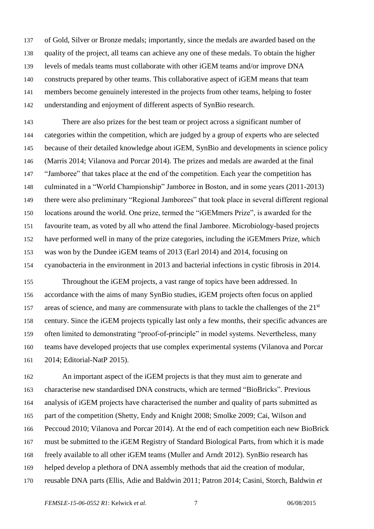of Gold, Silver or Bronze medals; importantly, since the medals are awarded based on the quality of the project, all teams can achieve any one of these medals. To obtain the higher levels of medals teams must collaborate with other iGEM teams and/or improve DNA constructs prepared by other teams. This collaborative aspect of iGEM means that team members become genuinely interested in the projects from other teams, helping to foster understanding and enjoyment of different aspects of SynBio research.

 There are also prizes for the best team or project across a significant number of categories within the competition, which are judged by a group of experts who are selected because of their detailed knowledge about iGEM, SynBio and developments in science policy [\(Marris 2014;](#page-16-10) [Vilanova and Porcar 2014\)](#page-16-11). The prizes and medals are awarded at the final "Jamboree" that takes place at the end of the competition. Each year the competition has culminated in a "World Championship" Jamboree in Boston, and in some years (2011-2013) there were also preliminary "Regional Jamborees" that took place in several different regional locations around the world. One prize, termed the "iGEMmers Prize", is awarded for the favourite team, as voted by all who attend the final Jamboree. Microbiology-based projects have performed well in many of the prize categories, including the iGEMmers Prize, which was won by the Dundee iGEM teams of 2013 [\(Earl 2014\)](#page-15-10) and 2014, focusing on cyanobacteria in the environment in 2013 and bacterial infections in cystic fibrosis in 2014.

 Throughout the iGEM projects, a vast range of topics have been addressed. In accordance with the aims of many SynBio studies, iGEM projects often focus on applied 157 areas of science, and many are commensurate with plans to tackle the challenges of the  $21<sup>st</sup>$  century. Since the iGEM projects typically last only a few months, their specific advances are often limited to demonstrating "proof-of-principle" in model systems. Nevertheless, many teams have developed projects that use complex experimental systems [\(Vilanova and Porcar](#page-16-11)  [2014;](#page-16-11) [Editorial-NatP 2015\)](#page-15-11).

 An important aspect of the iGEM projects is that they must aim to generate and characterise new standardised DNA constructs, which are termed "BioBricks". Previous analysis of iGEM projects have characterised the number and quality of parts submitted as part of the competition [\(Shetty, Endy and Knight 2008;](#page-16-12) [Smolke 2009;](#page-16-13) [Cai, Wilson and](#page-15-12)  [Peccoud 2010;](#page-15-12) [Vilanova and Porcar 2014\)](#page-16-11). At the end of each competition each new BioBrick must be submitted to the iGEM Registry of Standard Biological Parts, from which it is made freely available to all other iGEM teams [\(Muller and Arndt 2012\)](#page-16-7). SynBio research has helped develop a plethora of DNA assembly methods that aid the creation of modular, reusable DNA parts [\(Ellis, Adie and Baldwin 2011;](#page-15-13) [Patron 2014;](#page-16-14) [Casini, Storch, Baldwin](#page-15-14) *et*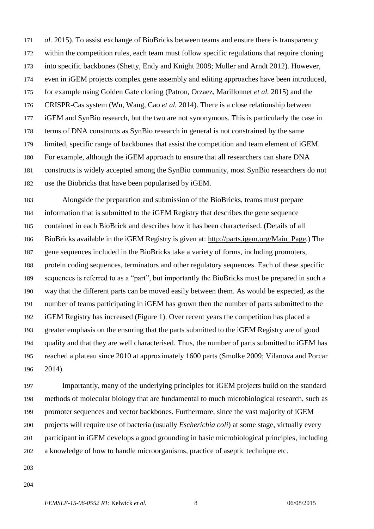*al.* [2015\)](#page-15-14). To assist exchange of BioBricks between teams and ensure there is transparency within the competition rules, each team must follow specific regulations that require cloning into specific backbones [\(Shetty, Endy and Knight 2008;](#page-16-12) [Muller and Arndt 2012\)](#page-16-7). However, even in iGEM projects complex gene assembly and editing approaches have been introduced, for example using Golden Gate cloning [\(Patron, Orzaez, Marillonnet](#page-16-15) *et al.* 2015) and the CRISPR-Cas system [\(Wu, Wang, Cao](#page-17-0) *et al.* 2014). There is a close relationship between iGEM and SynBio research, but the two are not synonymous. This is particularly the case in terms of DNA constructs as SynBio research in general is not constrained by the same limited, specific range of backbones that assist the competition and team element of iGEM. For example, although the iGEM approach to ensure that all researchers can share DNA constructs is widely accepted among the SynBio community, most SynBio researchers do not use the Biobricks that have been popularised by iGEM.

 Alongside the preparation and submission of the BioBricks, teams must prepare information that is submitted to the iGEM Registry that describes the gene sequence contained in each BioBrick and describes how it has been characterised. (Details of all BioBricks available in the iGEM Registry is given at: [http://parts.igem.org/Main\\_Page.](http://parts.igem.org/Main_Page)) The gene sequences included in the BioBricks take a variety of forms, including promoters, protein coding sequences, terminators and other regulatory sequences. Each of these specific sequences is referred to as a "part", but importantly the BioBricks must be prepared in such a way that the different parts can be moved easily between them. As would be expected, as the number of teams participating in iGEM has grown then the number of parts submitted to the iGEM Registry has increased (Figure 1). Over recent years the competition has placed a greater emphasis on the ensuring that the parts submitted to the iGEM Registry are of good quality and that they are well characterised. Thus, the number of parts submitted to iGEM has reached a plateau since 2010 at approximately 1600 parts [\(Smolke 2009;](#page-16-13) [Vilanova and Porcar](#page-16-11)  [2014\)](#page-16-11).

 Importantly, many of the underlying principles for iGEM projects build on the standard methods of molecular biology that are fundamental to much microbiological research, such as promoter sequences and vector backbones. Furthermore, since the vast majority of iGEM projects will require use of bacteria (usually *Escherichia coli*) at some stage, virtually every participant in iGEM develops a good grounding in basic microbiological principles, including a knowledge of how to handle microorganisms, practice of aseptic technique etc.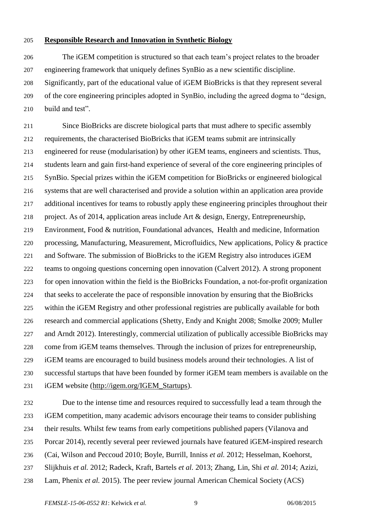#### **Responsible Research and Innovation in Synthetic Biology**

 The iGEM competition is structured so that each team's project relates to the broader engineering framework that uniquely defines SynBio as a new scientific discipline. Significantly, part of the educational value of iGEM BioBricks is that they represent several of the core engineering principles adopted in SynBio, including the agreed dogma to "design, build and test".

 Since BioBricks are discrete biological parts that must adhere to specific assembly requirements, the characterised BioBricks that iGEM teams submit are intrinsically engineered for reuse (modularisation) by other iGEM teams, engineers and scientists. Thus, students learn and gain first-hand experience of several of the core engineering principles of SynBio. Special prizes within the iGEM competition for BioBricks or engineered biological systems that are well characterised and provide a solution within an application area provide 217 additional incentives for teams to robustly apply these engineering principles throughout their project. As of 2014, application areas include Art & design, Energy, Entrepreneurship, Environment, Food & nutrition, Foundational advances, Health and medicine, Information processing, Manufacturing, Measurement, Microfluidics, New applications, Policy & practice and Software. The submission of BioBricks to the iGEM Registry also introduces iGEM teams to ongoing questions concerning open innovation [\(Calvert 2012\)](#page-15-15). A strong proponent for open innovation within the field is the BioBricks Foundation, a not-for-profit organization that seeks to accelerate the pace of responsible innovation by ensuring that the BioBricks within the iGEM Registry and other professional registries are publically available for both research and commercial applications [\(Shetty, Endy and Knight 2008;](#page-16-12) [Smolke 2009;](#page-16-13) [Muller](#page-16-7)  [and Arndt 2012\)](#page-16-7). Interestingly, commercial utilization of publically accessible BioBricks may come from iGEM teams themselves. Through the inclusion of prizes for entrepreneurship, iGEM teams are encouraged to build business models around their technologies. A list of successful startups that have been founded by former iGEM team members is available on the iGEM website [\(http://igem.org/IGEM\\_Startups\)](http://igem.org/IGEM_Startups).

 Due to the intense time and resources required to successfully lead a team through the iGEM competition, many academic advisors encourage their teams to consider publishing their results. Whilst few teams from early competitions published papers [\(Vilanova and](#page-16-11)  [Porcar 2014\)](#page-16-11), recently several peer reviewed journals have featured iGEM-inspired research [\(Cai, Wilson and Peccoud 2010;](#page-15-12) [Boyle, Burrill, Inniss](#page-15-16) *et al.* 2012; [Hesselman, Koehorst,](#page-16-16)  [Slijkhuis](#page-16-16) *et al.* 2012; [Radeck, Kraft, Bartels](#page-16-17) *et al.* 2013; [Zhang, Lin, Shi](#page-17-1) *et al.* 2014; [Azizi,](#page-15-17)  [Lam, Phenix](#page-15-17) *et al.* 2015). The peer review journal American Chemical Society (ACS)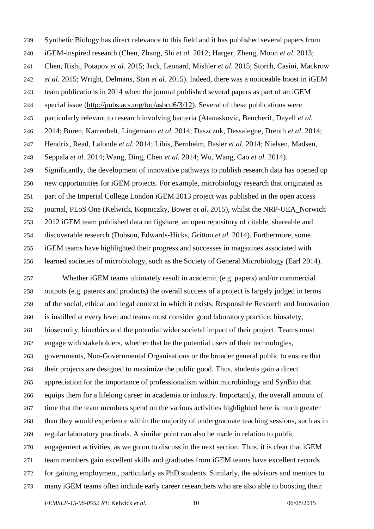Synthetic Biology has direct relevance to this field and it has published several papers from iGEM-inspired research [\(Chen, Zhang, Shi](#page-15-18) *et al.* 2012; [Harger, Zheng, Moon](#page-15-19) *et al.* 2013; [Chen, Rishi, Potapov](#page-15-20) *et al.* 2015; [Jack, Leonard, Mishler](#page-16-18) *et al.* 2015; [Storch, Casini, Mackrow](#page-16-19) *et al.* [2015;](#page-16-19) [Wright, Delmans, Stan](#page-17-2) *et al.* 2015). Indeed, there was a noticeable boost in iGEM team publications in 2014 when the journal published several papers as part of an iGEM special issue [\(http://pubs.acs.org/toc/asbcd6/3/12\)](http://pubs.acs.org/toc/asbcd6/3/12). Several of these publications were particularly relevant to research involving bacteria [\(Atanaskovic, Bencherif, Deyell](#page-15-21) *et al.* [2014;](#page-15-21) [Buren, Karrenbelt, Lingemann](#page-15-22) *et al.* 2014; [Daszczuk, Dessalegne, Drenth](#page-15-23) *et al.* 2014; [Hendrix, Read, Lalonde](#page-16-20) *et al.* 2014; [Libis, Bernheim, Basier](#page-16-21) *et al.* 2014; [Nielsen, Madsen,](#page-16-22)  [Seppala](#page-16-22) *et al.* 2014; [Wang, Ding, Chen](#page-17-3) *et al.* 2014; [Wu, Wang, Cao](#page-17-0) *et al.* 2014). Significantly, the development of innovative pathways to publish research data has opened up new opportunities for iGEM projects. For example, microbiology research that originated as part of the Imperial College London iGEM 2013 project was published in the open access journal, PLoS One [\(Kelwick, Kopniczky, Bower](#page-16-23) *et al.* 2015), whilst the NRP-UEA\_Norwich 2012 iGEM team published data on figshare, an open repository of citable, shareable and discoverable research [\(Dobson, Edwards-Hicks, Gritton](#page-15-24) *et al.* 2014). Furthermore, some iGEM teams have highlighted their progress and successes in magazines associated with learned societies of microbiology, such as the Society of General Microbiology [\(Earl 2014\)](#page-15-10).

 Whether iGEM teams ultimately result in academic (e.g. papers) and/or commercial outputs (e.g. patents and products) the overall success of a project is largely judged in terms of the social, ethical and legal context in which it exists. Responsible Research and Innovation is instilled at every level and teams must consider good laboratory practice, biosafety, biosecurity, bioethics and the potential wider societal impact of their project. Teams must engage with stakeholders, whether that be the potential users of their technologies, governments, Non-Governmental Organisations or the broader general public to ensure that their projects are designed to maximize the public good. Thus, students gain a direct appreciation for the importance of professionalism within microbiology and SynBio that equips them for a lifelong career in academia or industry. Importantly, the overall amount of time that the team members spend on the various activities highlighted here is much greater than they would experience within the majority of undergraduate teaching sessions, such as in regular laboratory practicals. A similar point can also be made in relation to public engagement activities, as we go on to discuss in the next section. Thus, it is clear that iGEM team members gain excellent skills and graduates from iGEM teams have excellent records for gaining employment, particularly as PhD students. Similarly, the advisors and mentors to many iGEM teams often include early career researchers who are also able to boosting their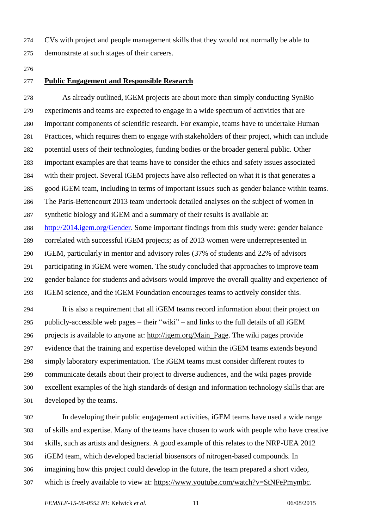CVs with project and people management skills that they would not normally be able to

#### **Public Engagement and Responsible Research**

demonstrate at such stages of their careers.

 As already outlined, iGEM projects are about more than simply conducting SynBio experiments and teams are expected to engage in a wide spectrum of activities that are important components of scientific research. For example, teams have to undertake Human Practices, which requires them to engage with stakeholders of their project, which can include potential users of their technologies, funding bodies or the broader general public. Other important examples are that teams have to consider the ethics and safety issues associated with their project. Several iGEM projects have also reflected on what it is that generates a good iGEM team, including in terms of important issues such as gender balance within teams. The Paris-Bettencourt 2013 team undertook detailed analyses on the subject of women in synthetic biology and iGEM and a summary of their results is available at: [http://2014.igem.org/Gender.](http://2014.igem.org/Gender) Some important findings from this study were: gender balance correlated with successful iGEM projects; as of 2013 women were underrepresented in iGEM, particularly in mentor and advisory roles (37% of students and 22% of advisors participating in iGEM were women. The study concluded that approaches to improve team gender balance for students and advisors would improve the overall quality and experience of iGEM science, and the iGEM Foundation encourages teams to actively consider this. It is also a requirement that all iGEM teams record information about their project on publicly-accessible web pages – their "wiki" – and links to the full details of all iGEM

 projects is available to anyone at: [http://igem.org/Main\\_Page.](http://igem.org/Main_Page) The wiki pages provide evidence that the training and expertise developed within the iGEM teams extends beyond simply laboratory experimentation. The iGEM teams must consider different routes to communicate details about their project to diverse audiences, and the wiki pages provide excellent examples of the high standards of design and information technology skills that are developed by the teams.

 In developing their public engagement activities, iGEM teams have used a wide range of skills and expertise. Many of the teams have chosen to work with people who have creative skills, such as artists and designers. A good example of this relates to the NRP-UEA 2012 iGEM team, which developed bacterial biosensors of nitrogen-based compounds. In imagining how this project could develop in the future, the team prepared a short video, which is freely available to view at: [https://www.youtube.com/watch?v=StNFePmymbc.](https://www.youtube.com/watch?v=StNFePmymbc)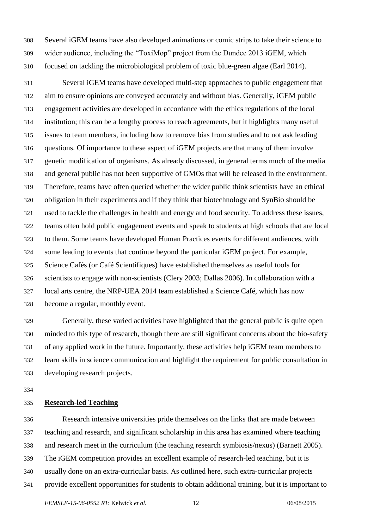Several iGEM teams have also developed animations or comic strips to take their science to wider audience, including the "ToxiMop" project from the Dundee 2013 iGEM, which focused on tackling the microbiological problem of toxic blue-green algae [\(Earl 2014\)](#page-15-10).

 Several iGEM teams have developed multi-step approaches to public engagement that aim to ensure opinions are conveyed accurately and without bias. Generally, iGEM public engagement activities are developed in accordance with the ethics regulations of the local institution; this can be a lengthy process to reach agreements, but it highlights many useful issues to team members, including how to remove bias from studies and to not ask leading questions. Of importance to these aspect of iGEM projects are that many of them involve genetic modification of organisms. As already discussed, in general terms much of the media and general public has not been supportive of GMOs that will be released in the environment. Therefore, teams have often queried whether the wider public think scientists have an ethical obligation in their experiments and if they think that biotechnology and SynBio should be used to tackle the challenges in health and energy and food security. To address these issues, teams often hold public engagement events and speak to students at high schools that are local to them. Some teams have developed Human Practices events for different audiences, with some leading to events that continue beyond the particular iGEM project. For example, Science Cafés (or Café Scientifiques) have established themselves as useful tools for scientists to engage with non-scientists [\(Clery 2003;](#page-15-25) [Dallas 2006\)](#page-15-26). In collaboration with a local arts centre, the NRP-UEA 2014 team established a Science Café, which has now become a regular, monthly event.

 Generally, these varied activities have highlighted that the general public is quite open minded to this type of research, though there are still significant concerns about the bio-safety of any applied work in the future. Importantly, these activities help iGEM team members to learn skills in science communication and highlight the requirement for public consultation in developing research projects.

#### **Research-led Teaching**

 Research intensive universities pride themselves on the links that are made between teaching and research, and significant scholarship in this area has examined where teaching and research meet in the curriculum (the teaching research symbiosis/nexus) [\(Barnett 2005\)](#page-15-27). The iGEM competition provides an excellent example of research-led teaching, but it is usually done on an extra-curricular basis. As outlined here, such extra-curricular projects provide excellent opportunities for students to obtain additional training, but it is important to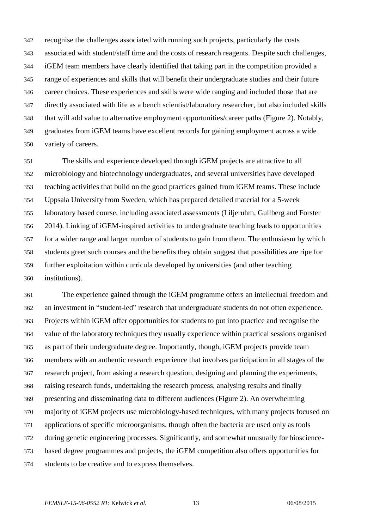recognise the challenges associated with running such projects, particularly the costs associated with student/staff time and the costs of research reagents. Despite such challenges, iGEM team members have clearly identified that taking part in the competition provided a range of experiences and skills that will benefit their undergraduate studies and their future career choices. These experiences and skills were wide ranging and included those that are directly associated with life as a bench scientist/laboratory researcher, but also included skills that will add value to alternative employment opportunities/career paths (Figure 2). Notably, graduates from iGEM teams have excellent records for gaining employment across a wide variety of careers.

 The skills and experience developed through iGEM projects are attractive to all microbiology and biotechnology undergraduates, and several universities have developed teaching activities that build on the good practices gained from iGEM teams. These include Uppsala University from Sweden, which has prepared detailed material for a 5-week laboratory based course, including associated assessments [\(Liljeruhm, Gullberg and Forster](#page-16-8)  [2014\)](#page-16-8). Linking of iGEM-inspired activities to undergraduate teaching leads to opportunities for a wider range and larger number of students to gain from them. The enthusiasm by which students greet such courses and the benefits they obtain suggest that possibilities are ripe for further exploitation within curricula developed by universities (and other teaching institutions).

 The experience gained through the iGEM programme offers an intellectual freedom and an investment in "student-led" research that undergraduate students do not often experience. Projects within iGEM offer opportunities for students to put into practice and recognise the value of the laboratory techniques they usually experience within practical sessions organised as part of their undergraduate degree. Importantly, though, iGEM projects provide team members with an authentic research experience that involves participation in all stages of the research project, from asking a research question, designing and planning the experiments, raising research funds, undertaking the research process, analysing results and finally presenting and disseminating data to different audiences (Figure 2). An overwhelming majority of iGEM projects use microbiology-based techniques, with many projects focused on applications of specific microorganisms, though often the bacteria are used only as tools during genetic engineering processes. Significantly, and somewhat unusually for bioscience- based degree programmes and projects, the iGEM competition also offers opportunities for students to be creative and to express themselves.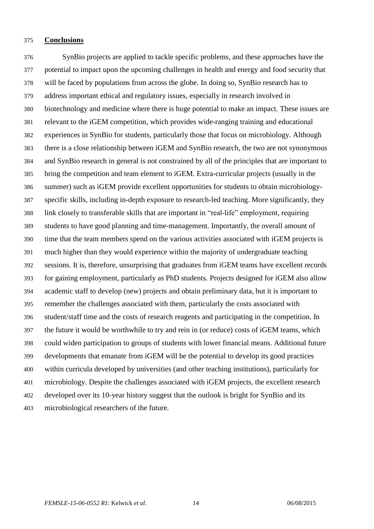#### **Conclusions**

 SynBio projects are applied to tackle specific problems, and these approaches have the potential to impact upon the upcoming challenges in health and energy and food security that will be faced by populations from across the globe. In doing so, SynBio research has to address important ethical and regulatory issues, especially in research involved in biotechnology and medicine where there is huge potential to make an impact. These issues are relevant to the iGEM competition, which provides wide-ranging training and educational experiences in SynBio for students, particularly those that focus on microbiology. Although there is a close relationship between iGEM and SynBio research, the two are not synonymous and SynBio research in general is not constrained by all of the principles that are important to bring the competition and team element to iGEM. Extra-curricular projects (usually in the summer) such as iGEM provide excellent opportunities for students to obtain microbiology- specific skills, including in-depth exposure to research-led teaching. More significantly, they link closely to transferable skills that are important in "real-life" employment, requiring students to have good planning and time-management. Importantly, the overall amount of time that the team members spend on the various activities associated with iGEM projects is much higher than they would experience within the majority of undergraduate teaching sessions. It is, therefore, unsurprising that graduates from iGEM teams have excellent records for gaining employment, particularly as PhD students. Projects designed for iGEM also allow academic staff to develop (new) projects and obtain preliminary data, but it is important to remember the challenges associated with them, particularly the costs associated with student/staff time and the costs of research reagents and participating in the competition. In the future it would be worthwhile to try and rein in (or reduce) costs of iGEM teams, which could widen participation to groups of students with lower financial means. Additional future developments that emanate from iGEM will be the potential to develop its good practices within curricula developed by universities (and other teaching institutions), particularly for microbiology. Despite the challenges associated with iGEM projects, the excellent research developed over its 10-year history suggest that the outlook is bright for SynBio and its microbiological researchers of the future.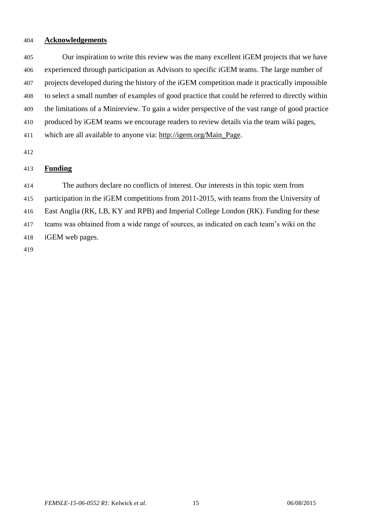#### **Acknowledgements**

 Our inspiration to write this review was the many excellent iGEM projects that we have experienced through participation as Advisors to specific iGEM teams. The large number of projects developed during the history of the iGEM competition made it practically impossible to select a small number of examples of good practice that could be referred to directly within the limitations of a Minireview. To gain a wider perspective of the vast range of good practice produced by iGEM teams we encourage readers to review details via the team wiki pages,

which are all available to anyone via: [http://igem.org/Main\\_Page.](http://igem.org/Main_Page)

# **Funding**

The authors declare no conflicts of interest. Our interests in this topic stem from

participation in the iGEM competitions from 2011-2015, with teams from the University of

East Anglia (RK, LB, KY and RPB) and Imperial College London (RK). Funding for these

teams was obtained from a wide range of sources, as indicated on each team's wiki on the

iGEM web pages.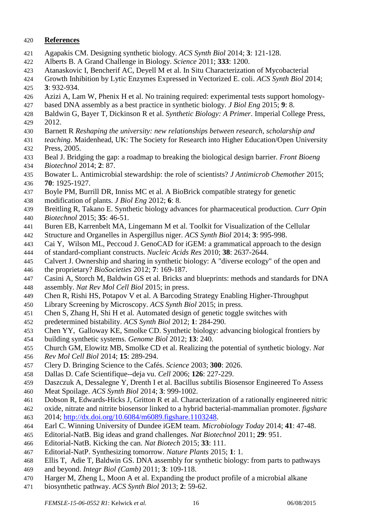## **References**

- <span id="page-15-0"></span>Agapakis CM. Designing synthetic biology. *ACS Synth Biol* 2014; **3**: 121-128.
- <span id="page-15-2"></span>Alberts B. A Grand Challenge in Biology. *Science* 2011; **333**: 1200.
- <span id="page-15-21"></span>Atanaskovic I, Bencherif AC, Deyell M et al. In Situ Characterization of Mycobacterial
- Growth Inhibition by Lytic Enzymes Expressed in Vectorized E. coli. *ACS Synth Biol* 2014;
- **3**: 932-934.
- <span id="page-15-17"></span>Azizi A, Lam W, Phenix H et al. No training required: experimental tests support homology-
- based DNA assembly as a best practice in synthetic biology. *J Biol Eng* 2015; **9**: 8.
- <span id="page-15-5"></span> Baldwin G, Bayer T, Dickinson R et al. *Synthetic Biology: A Primer*. Imperial College Press, 2012.
- <span id="page-15-27"></span>Barnett R *Reshaping the university: new relationships between research, scholarship and*
- *teaching*. Maidenhead, UK: The Society for Research into Higher Education/Open University Press, 2005.
- <span id="page-15-1"></span> Beal J. Bridging the gap: a roadmap to breaking the biological design barrier. *Front Bioeng Biotechnol* 2014; **2**: 87.
- <span id="page-15-4"></span> Bowater L. Antimicrobial stewardship: the role of scientists? *J Antimicrob Chemother* 2015; **70**: 1925-1927.
- <span id="page-15-16"></span>Boyle PM, Burrill DR, Inniss MC et al. A BioBrick compatible strategy for genetic
- modification of plants. *J Biol Eng* 2012; **6**: 8.
- <span id="page-15-7"></span>Breitling R, Takano E. Synthetic biology advances for pharmaceutical production. *Curr Opin*
- *Biotechnol* 2015; **35**: 46-51.
- <span id="page-15-22"></span>Buren EB, Karrenbelt MA, Lingemann M et al. Toolkit for Visualization of the Cellular
- Structure and Organelles in Aspergillus niger. *ACS Synth Biol* 2014; **3**: 995-998.
- <span id="page-15-12"></span>Cai Y, Wilson ML, Peccoud J. GenoCAD for iGEM: a grammatical approach to the design
- of standard-compliant constructs. *Nucleic Acids Res* 2010; **38**: 2637-2644.
- <span id="page-15-15"></span> Calvert J. Ownership and sharing in synthetic biology: A "diverse ecology" of the open and the proprietary? *BioSocieties* 2012; **7**: 169-187.
- <span id="page-15-14"></span>Casini A, Storch M, Baldwin GS et al. Bricks and blueprints: methods and standards for DNA
- assembly. *Nat Rev Mol Cell Biol* 2015; in press.
- <span id="page-15-20"></span>Chen R, Rishi HS, Potapov V et al. A Barcoding Strategy Enabling Higher-Throughput
- Library Screening by Microscopy. *ACS Synth Biol* 2015; in press.
- <span id="page-15-18"></span>Chen S, Zhang H, Shi H et al. Automated design of genetic toggle switches with
- predetermined bistability. *ACS Synth Biol* 2012; **1**: 284-290.
- <span id="page-15-6"></span>Chen YY, Galloway KE, Smolke CD. Synthetic biology: advancing biological frontiers by
- building synthetic systems. *Genome Biol* 2012; **13**: 240.
- <span id="page-15-8"></span>Church GM, Elowitz MB, Smolke CD et al. Realizing the potential of synthetic biology. *Nat*
- *Rev Mol Cell Biol* 2014; **15**: 289-294.
- <span id="page-15-25"></span>Clery D. Bringing Science to the Cafés. *Science* 2003; **300**: 2026.
- <span id="page-15-26"></span>Dallas D. Cafe Scientifique--deja vu. *Cell* 2006; **126**: 227-229.
- <span id="page-15-23"></span>Daszczuk A, Dessalegne Y, Drenth I et al. Bacillus subtilis Biosensor Engineered To Assess
- Meat Spoilage. *ACS Synth Biol* 2014; **3**: 999-1002.
- <span id="page-15-24"></span>Dobson R, Edwards-Hicks J, Gritton R et al. Characterization of a rationally engineered nitric
- oxide, nitrate and nitrite biosensor linked to a hybrid bacterial-mammalian promoter. *figshare* 2014; [http://dx.doi.org/10.6084/m6089.figshare.1103248.](http://dx.doi.org/10.6084/m6089.figshare.1103248)
- <span id="page-15-10"></span>Earl C. Winning University of Dundee iGEM team. *Microbiology Today* 2014; **41**: 47-48.
- <span id="page-15-3"></span>Editorial-NatB. Big ideas and grand challenges. *Nat Biotechnol* 2011; **29**: 951.
- <span id="page-15-9"></span>Editorial-NatB. Kicking the can. *Nat Biotech* 2015; **33**: 111.
- <span id="page-15-11"></span>Editorial-NatP. Synthesizing tomorrow. *Nature Plants* 2015; **1**: 1.
- <span id="page-15-13"></span>Ellis T, Adie T, Baldwin GS. DNA assembly for synthetic biology: from parts to pathways
- and beyond. *Integr Biol (Camb)* 2011; **3**: 109-118.
- <span id="page-15-19"></span>Harger M, Zheng L, Moon A et al. Expanding the product profile of a microbial alkane
- biosynthetic pathway. *ACS Synth Biol* 2013; **2**: 59-62.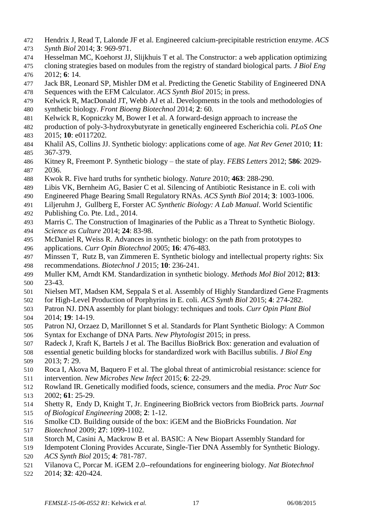- <span id="page-16-20"></span>Hendrix J, Read T, Lalonde JF et al. Engineered calcium-precipitable restriction enzyme. *ACS*
- *Synth Biol* 2014; **3**: 969-971.
- <span id="page-16-16"></span>Hesselman MC, Koehorst JJ, Slijkhuis T et al. The Constructor: a web application optimizing
- cloning strategies based on modules from the registry of standard biological parts. *J Biol Eng* 2012; **6**: 14.
- <span id="page-16-18"></span>Jack BR, Leonard SP, Mishler DM et al. Predicting the Genetic Stability of Engineered DNA
- Sequences with the EFM Calculator. *ACS Synth Biol* 2015; in press.
- <span id="page-16-0"></span>Kelwick R, MacDonald JT, Webb AJ et al. Developments in the tools and methodologies of
- synthetic biology. *Front Bioeng Biotechnol* 2014; **2**: 60.
- <span id="page-16-23"></span>Kelwick R, Kopniczky M, Bower I et al. A forward-design approach to increase the
- production of poly-3-hydroxybutyrate in genetically engineered Escherichia coli. *PLoS One* 2015; **10**: e0117202.
- <span id="page-16-2"></span> Khalil AS, Collins JJ. Synthetic biology: applications come of age. *Nat Rev Genet* 2010; **11**: 367-379.
- <span id="page-16-3"></span> Kitney R, Freemont P. Synthetic biology – the state of play. *FEBS Letters* 2012; **586**: 2029- 2036.
- <span id="page-16-5"></span>Kwok R. Five hard truths for synthetic biology. *Nature* 2010; **463**: 288-290.
- <span id="page-16-21"></span>Libis VK, Bernheim AG, Basier C et al. Silencing of Antibiotic Resistance in E. coli with
- Engineered Phage Bearing Small Regulatory RNAs. *ACS Synth Biol* 2014; **3**: 1003-1006.
- <span id="page-16-8"></span>Liljeruhm J, Gullberg E, Forster AC *Synthetic Biology: A Lab Manual*. World Scientific
- Publishing Co. Pte. Ltd., 2014.
- <span id="page-16-10"></span>Marris C. The Construction of Imaginaries of the Public as a Threat to Synthetic Biology.
- *Science as Culture* 2014; **24**: 83-98.
- <span id="page-16-1"></span> McDaniel R, Weiss R. Advances in synthetic biology: on the path from prototypes to applications. *Curr Opin Biotechnol* 2005; **16**: 476-483.
- <span id="page-16-4"></span> Minssen T, Rutz B, van Zimmeren E. Synthetic biology and intellectual property rights: Six recommendations. *Biotechnol J* 2015; **10**: 236-241.
- <span id="page-16-7"></span> Muller KM, Arndt KM. Standardization in synthetic biology. *Methods Mol Biol* 2012; **813**: 23-43.
- <span id="page-16-22"></span>Nielsen MT, Madsen KM, Seppala S et al. Assembly of Highly Standardized Gene Fragments
- for High-Level Production of Porphyrins in E. coli. *ACS Synth Biol* 2015; **4**: 274-282.
- <span id="page-16-14"></span>Patron NJ. DNA assembly for plant biology: techniques and tools. *Curr Opin Plant Biol*
- 2014; **19**: 14-19.
- <span id="page-16-15"></span>Patron NJ, Orzaez D, Marillonnet S et al. Standards for Plant Synthetic Biology: A Common
- Syntax for Exchange of DNA Parts. *New Phytologist* 2015; in press.
- <span id="page-16-17"></span>Radeck J, Kraft K, Bartels J et al. The Bacillus BioBrick Box: generation and evaluation of
- essential genetic building blocks for standardized work with Bacillus subtilis. *J Biol Eng* 2013; **7**: 29.
- <span id="page-16-6"></span> Roca I, Akova M, Baquero F et al. The global threat of antimicrobial resistance: science for intervention. *New Microbes New Infect* 2015; **6**: 22-29.
- <span id="page-16-9"></span> Rowland IR. Genetically modified foods, science, consumers and the media. *Proc Nutr Soc* 2002; **61**: 25-29.
- <span id="page-16-12"></span> Shetty R, Endy D, Knight T, Jr. Engineering BioBrick vectors from BioBrick parts. *Journal of Biological Engineering* 2008; **2**: 1-12.
- <span id="page-16-13"></span>Smolke CD. Building outside of the box: iGEM and the BioBricks Foundation. *Nat*
- *Biotechnol* 2009; **27**: 1099-1102.
- <span id="page-16-19"></span>Storch M, Casini A, Mackrow B et al. BASIC: A New Biopart Assembly Standard for
- Idempotent Cloning Provides Accurate, Single-Tier DNA Assembly for Synthetic Biology. *ACS Synth Biol* 2015; **4**: 781-787.
- <span id="page-16-11"></span>Vilanova C, Porcar M. iGEM 2.0--refoundations for engineering biology. *Nat Biotechnol*
- 2014; **32**: 420-424.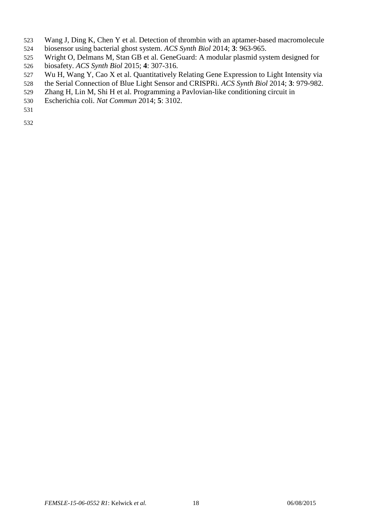- <span id="page-17-3"></span>Wang J, Ding K, Chen Y et al. Detection of thrombin with an aptamer-based macromolecule
- biosensor using bacterial ghost system. *ACS Synth Biol* 2014; **3**: 963-965.
- <span id="page-17-2"></span>Wright O, Delmans M, Stan GB et al. GeneGuard: A modular plasmid system designed for
- biosafety. *ACS Synth Biol* 2015; **4**: 307-316.
- <span id="page-17-0"></span>Wu H, Wang Y, Cao X et al. Quantitatively Relating Gene Expression to Light Intensity via
- the Serial Connection of Blue Light Sensor and CRISPRi. *ACS Synth Biol* 2014; **3**: 979-982.
- <span id="page-17-1"></span>Zhang H, Lin M, Shi H et al. Programming a Pavlovian-like conditioning circuit in
- Escherichia coli. *Nat Commun* 2014; **5**: 3102.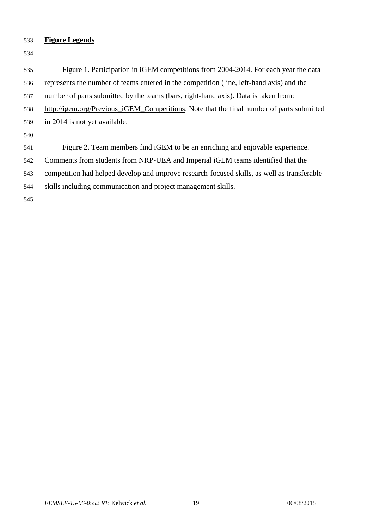## **Figure Legends**

 Figure 1. Participation in iGEM competitions from 2004-2014. For each year the data represents the number of teams entered in the competition (line, left-hand axis) and the number of parts submitted by the teams (bars, right-hand axis). Data is taken from: [http://igem.org/Previous\\_iGEM\\_Competitions.](http://igem.org/Previous_iGEM_Competitions) Note that the final number of parts submitted in 2014 is not yet available. Figure 2. Team members find iGEM to be an enriching and enjoyable experience. Comments from students from NRP-UEA and Imperial iGEM teams identified that the competition had helped develop and improve research-focused skills, as well as transferable skills including communication and project management skills.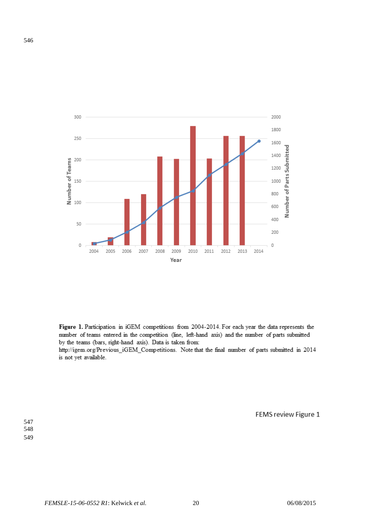

Figure 1. Participation in iGEM competitions from 2004-2014. For each year the data represents the number of teams entered in the competition (line, left-hand axis) and the number of parts submitted by the teams (bars, right-hand axis). Data is taken from:

http://igem.org/Previous\_iGEM\_Competitions. Note that the final number of parts submitted in 2014 is not yet available.

FEMS review Figure 1